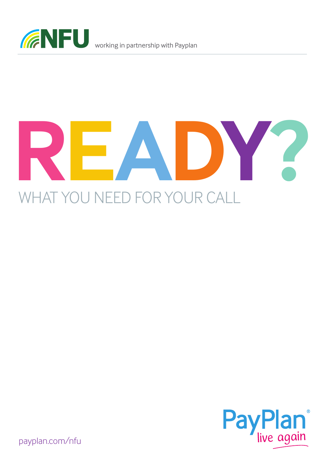





payplan.com/nfu